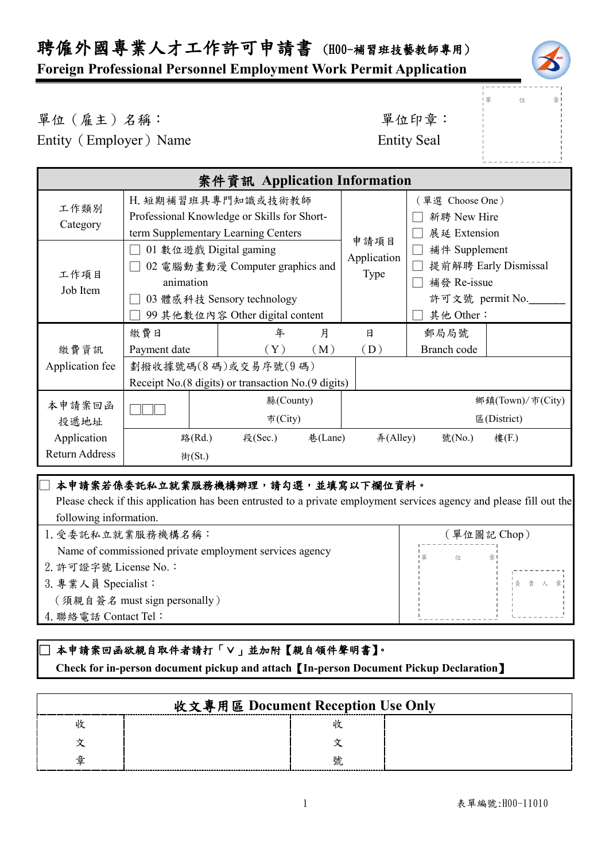單 位 章

單位(雇主)名稱: 第六章: 李仁平 李 里位印章:

Entity (Employer) Name Entity Seal

| 案件資訊 Application Information |                                                      |                                     |         |             |                 |                      |
|------------------------------|------------------------------------------------------|-------------------------------------|---------|-------------|-----------------|----------------------|
| 工作類別                         | H. 短期補習班具專門知識或技術教師                                   |                                     |         |             | (單選 Choose One) |                      |
| Category                     | Professional Knowledge or Skills for Short-          |                                     |         |             | 新聘 New Hire     |                      |
|                              |                                                      | term Supplementary Learning Centers |         | 申請項目        | 展延 Extension    |                      |
|                              | 01 數位遊戲 Digital gaming                               |                                     |         | Application | 補件 Supplement   |                      |
| 工作項目                         |                                                      | 02 電腦動畫動漫 Computer graphics and     |         | Type        |                 | 提前解聘 Early Dismissal |
| Job Item                     | animation                                            |                                     |         |             | 補發 Re-issue     |                      |
|                              | 03 體感科技 Sensory technology                           |                                     |         |             | 許可文號 permit No. |                      |
|                              | 99 其他數位內容 Other digital content                      |                                     |         |             | 其他 Other:       |                      |
|                              | 繳費日                                                  | 年                                   | 月       | 日           | 郵局局號            |                      |
| 繳費資訊<br>Application fee      | Payment date                                         | $(\,\mathrm{Y}\,)$                  | (M)     | (D)         | Branch code     |                      |
|                              |                                                      | 劃撥收據號碼(8碼)或交易序號(9碼)                 |         |             |                 |                      |
|                              | Receipt No. (8 digits) or transaction No. (9 digits) |                                     |         |             |                 |                      |
| 本申請案回函<br>投遞地址               |                                                      | 縣(County)                           |         |             |                 | 鄉鎮(Town)/市(City)     |
|                              |                                                      | 市(City)                             |         |             |                 | 區 $(District)$       |
| Application                  | 路(Rd.)                                               | 段(Sec.)                             | 巷(Lane) | #(Alley)    | 號(No.)          | 樓(F.)                |
| <b>Return Address</b>        | 街(St.)                                               |                                     |         |             |                 |                      |
|                              |                                                      |                                     |         |             |                 |                      |

## 本申請案若係委託私立就業服務機構辦理,請勾選,並填寫以下欄位資料。

 Please check if this application has been entrusted to a private employment services agency and please fill out the following information.

| 1. 受委託私立就業服務機構名稱:                                       | (單位圖記 Chop) |  |  |
|---------------------------------------------------------|-------------|--|--|
| Name of commissioned private employment services agency | 1 留<br>位    |  |  |
| 2. 許可證字號 License No.:                                   |             |  |  |
| 3. 專業人員 Specialist:                                     | 1負 責 人      |  |  |
| (須親自簽名 must sign personally)                            |             |  |  |
| 4. 聯絡電話 Contact Tel:                                    |             |  |  |
|                                                         |             |  |  |

## ]本申請案回函欲親自取件者請打「∨」並加附【親自領件聲明書】。

 **Check for in-person document pickup and attach**【**In-person Document Pickup Declaration**】

|   | 收文專用區 Document Reception Use Only |   |  |
|---|-----------------------------------|---|--|
|   |                                   |   |  |
|   |                                   |   |  |
|   |                                   |   |  |
| 퓰 |                                   | 號 |  |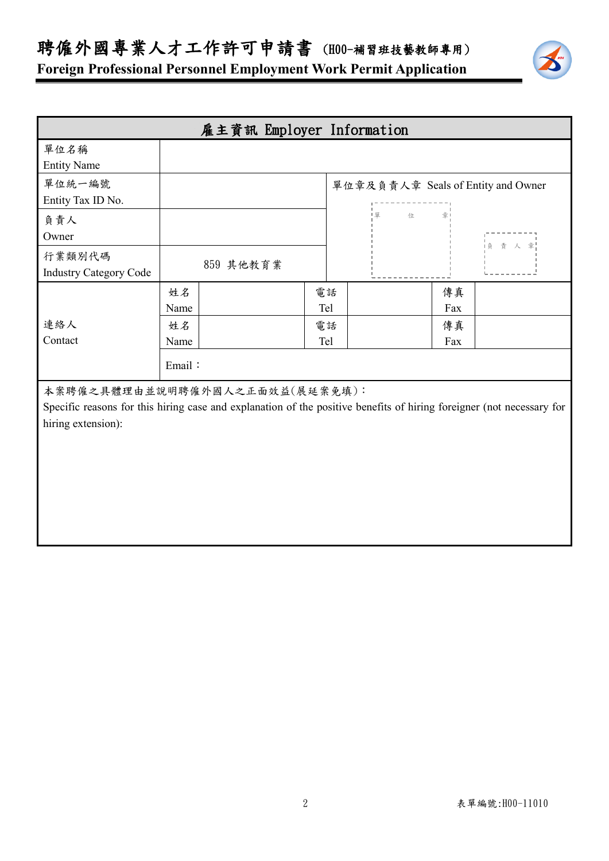聘僱外國專業人才工作許可申請書 (H00-補習班技藝教師專用)



| 雇主資訊 Employer Information                                                                                                                               |        |           |     |    |   |     |                                    |
|---------------------------------------------------------------------------------------------------------------------------------------------------------|--------|-----------|-----|----|---|-----|------------------------------------|
| 單位名稱                                                                                                                                                    |        |           |     |    |   |     |                                    |
| <b>Entity Name</b>                                                                                                                                      |        |           |     |    |   |     |                                    |
| 單位統一編號                                                                                                                                                  |        |           |     |    |   |     | 單位章及負責人章 Seals of Entity and Owner |
| Entity Tax ID No.                                                                                                                                       |        |           |     |    |   |     |                                    |
| 負責人                                                                                                                                                     |        |           |     | 1里 | 位 |     |                                    |
| Owner                                                                                                                                                   |        |           |     |    |   |     | 貞 責 人 章                            |
| 行業類別代碼                                                                                                                                                  |        |           |     |    |   |     |                                    |
| <b>Industry Category Code</b>                                                                                                                           |        | 859 其他教育業 |     |    |   |     |                                    |
|                                                                                                                                                         | 姓名     |           | 電話  |    |   | 傳真  |                                    |
|                                                                                                                                                         | Name   |           | Tel |    |   | Fax |                                    |
| 連絡人                                                                                                                                                     | 姓名     |           | 電話  |    |   | 傳真  |                                    |
| Contact                                                                                                                                                 | Name   |           | Tel |    |   | Fax |                                    |
|                                                                                                                                                         | Email: |           |     |    |   |     |                                    |
| 本案聘僱之具體理由並說明聘僱外國人之正面效益(展延案免填):<br>Specific reasons for this hiring case and explanation of the positive benefits of hiring foreigner (not necessary for |        |           |     |    |   |     |                                    |
| hiring extension):                                                                                                                                      |        |           |     |    |   |     |                                    |
|                                                                                                                                                         |        |           |     |    |   |     |                                    |
|                                                                                                                                                         |        |           |     |    |   |     |                                    |
|                                                                                                                                                         |        |           |     |    |   |     |                                    |
|                                                                                                                                                         |        |           |     |    |   |     |                                    |
|                                                                                                                                                         |        |           |     |    |   |     |                                    |
|                                                                                                                                                         |        |           |     |    |   |     |                                    |
|                                                                                                                                                         |        |           |     |    |   |     |                                    |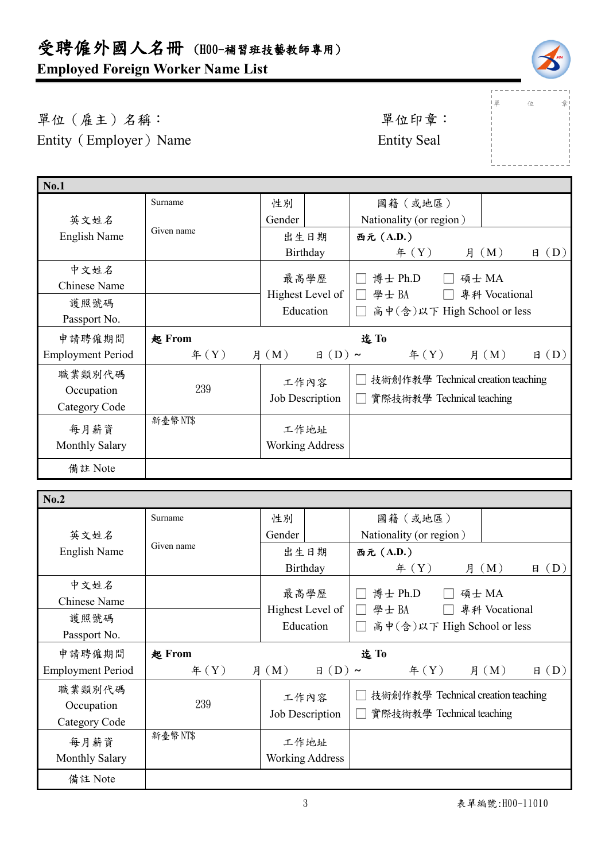

」<br>!單 位 章

單位(雇主)名稱: 第四章: 李位印章: 第一 Entity (Employer) Name Entity Seal

| <b>No.1</b>              |               |                              |                                            |
|--------------------------|---------------|------------------------------|--------------------------------------------|
|                          | Surname       | 性別                           | 國籍(或地區)                                    |
| 英文姓名                     |               | Gender                       | Nationality (or region)                    |
| <b>English Name</b>      | Given name    | 出生日期                         | 西元 (A.D.)                                  |
|                          |               | Birthday                     | 年 $(Y)$<br>(D)<br>(M)<br>月<br>日            |
| 中文姓名                     |               |                              |                                            |
| <b>Chinese Name</b>      |               | 最高學歷                         | 博士 Ph.D<br>碩士 MA                           |
| 護照號碼                     |               | Highest Level of             | 學士BA<br>專科 Vocational<br>$\mathbf{L}$      |
| Passport No.             |               | Education                    | 高中(含)以下 High School or less                |
| 申請聘僱期間                   | 起 From        |                              | 迄To                                        |
| <b>Employment Period</b> | $\text{4}(Y)$ | 月 $(M)$<br>$\boxminus$ (D) ~ | $\text{4}(Y)$<br>月 $(M)$<br>$\boxplus$ (D) |
| 職業類別代碼                   |               |                              | 技術創作教學 Technical creation teaching         |
| Occupation               | 239           | 工作內容                         |                                            |
| Category Code            |               | Job Description              | 實際技術教學 Technical teaching                  |
| 每月薪資                     | 新臺幣NT\$       | 工作地址                         |                                            |
| <b>Monthly Salary</b>    |               | <b>Working Address</b>       |                                            |
|                          |               |                              |                                            |
| 備註 Note                  |               |                              |                                            |
|                          |               |                              |                                            |

| No.2                     |               |                              |                                               |
|--------------------------|---------------|------------------------------|-----------------------------------------------|
|                          | Surname       | 性別                           | 國籍(或地區)                                       |
| 英文姓名                     |               | Gender                       | Nationality (or region)                       |
| English Name             | Given name    | 出生日期                         | 西元 (A.D.)                                     |
|                          |               | Birthday                     | # (Y)<br>(M)<br>(D)<br>日<br>月                 |
| 中文姓名                     |               |                              |                                               |
| Chinese Name             |               | 最高學歷                         | 博士 Ph.D<br>碩士 MA                              |
| 護照號碼                     |               | Highest Level of             | 學士BA<br>專科 Vocational                         |
|                          |               | Education                    | 高中(含)以下 High School or less<br>$\blacksquare$ |
| Passport No.             |               |                              |                                               |
|                          |               |                              |                                               |
| 申請聘僱期間                   | <b>起 From</b> |                              | 迄To                                           |
| <b>Employment Period</b> | $\text{4}(Y)$ | 月 $(M)$<br>$\boxminus$ (D) ~ | $\text{4}(Y)$<br>月 $(M)$<br>$\boxplus$ (D)    |
| 職業類別代碼                   |               |                              |                                               |
|                          | 239           | 工作內容                         | 技術創作教學 Technical creation teaching            |
| Occupation               |               | Job Description              | 實際技術教學 Technical teaching                     |
| Category Code            |               |                              |                                               |
| 每月薪資                     | 新臺幣NT\$       | 工作地址                         |                                               |
| <b>Monthly Salary</b>    |               | <b>Working Address</b>       |                                               |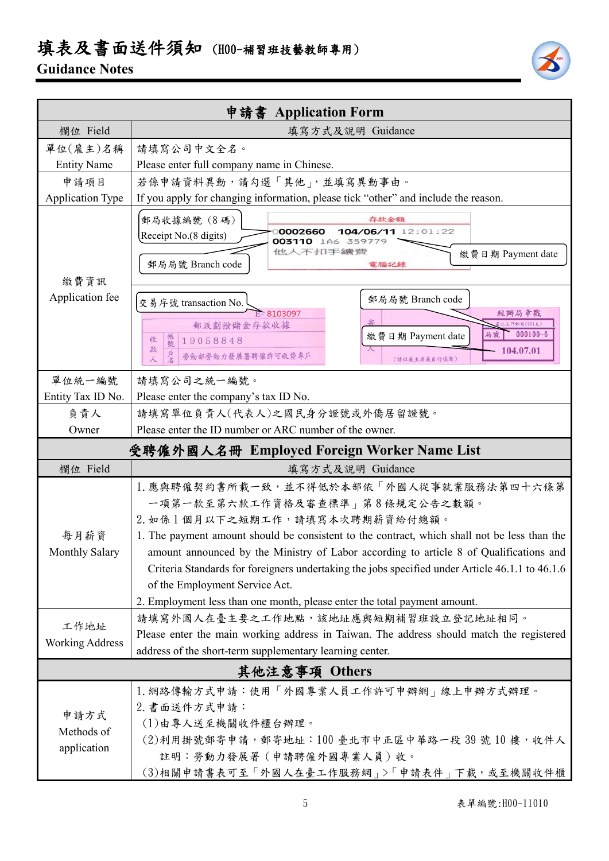## 填表及書面送件須知 (H00-補習班技藝教師專用)

## **Guidance Notes**



|                                            | 申請書 Application Form                                                                                |                                                                |  |  |  |
|--------------------------------------------|-----------------------------------------------------------------------------------------------------|----------------------------------------------------------------|--|--|--|
| 欄位 Field                                   | 填寫方式及說明 Guidance                                                                                    |                                                                |  |  |  |
| 單位(雇主)名稱                                   | 請填寫公司中文全名。                                                                                          |                                                                |  |  |  |
| <b>Entity Name</b>                         | Please enter full company name in Chinese.                                                          |                                                                |  |  |  |
| 申請項目                                       | 若係申請資料異動,請勾選「其他」,並填寫異動事由。                                                                           |                                                                |  |  |  |
| <b>Application Type</b>                    | If you apply for changing information, please tick "other" and include the reason.                  |                                                                |  |  |  |
| 繳費資訊                                       | 郵局收據編號 (8碼)<br>0002660<br>Receipt No.(8 digits)<br>003110 1A6 359779<br>他人不扣手續變<br>郵局局號 Branch code | 存款金額<br>104/06/11 12:01:22<br>繳費日期 Payment date<br>電腦記錄        |  |  |  |
| Application fee                            | 交易序號 transaction No.                                                                                | 郵局局號 Branch code                                               |  |  |  |
|                                            | E-8103097                                                                                           | 經辦局章戳                                                          |  |  |  |
|                                            | 郵政劃撥儲金存款收據                                                                                          | <b>を北北門郵局(901支)</b><br>$000100 - 6$<br>局號<br>繳費日期 Payment date |  |  |  |
|                                            | 帳號<br>19058848<br>收<br>款<br>勞動部勞動力發展署聘僱許可收費專戶                                                       | 104.07.01<br>(請以雇主名義自行填寫)                                      |  |  |  |
|                                            |                                                                                                     |                                                                |  |  |  |
| 單位統一編號                                     | 請填寫公司之統一編號。                                                                                         |                                                                |  |  |  |
| Entity Tax ID No.                          | Please enter the company's tax ID No.                                                               |                                                                |  |  |  |
| 負責人                                        | 請填寫單位負責人(代表人)之國民身分證號或外僑居留證號。                                                                        |                                                                |  |  |  |
| Owner                                      | Please enter the ID number or ARC number of the owner.                                              |                                                                |  |  |  |
| 受聘僱外國人名冊 Employed Foreign Worker Name List |                                                                                                     |                                                                |  |  |  |
| 欄位 Field                                   | 填寫方式及說明 Guidance                                                                                    |                                                                |  |  |  |
|                                            | 1. 應與聘僱契約書所載一致,並不得低於本部依「外國人從事就業服務法第四十六條第                                                            |                                                                |  |  |  |
|                                            | 一項第一款至第六款工作資格及審查標準   第8條規定公告之數額。                                                                    |                                                                |  |  |  |
|                                            | 2. 如係1個月以下之短期工作,請填寫本次聘期薪資給付總額。                                                                      |                                                                |  |  |  |
| 每月薪資                                       | 1. The payment amount should be consistent to the contract, which shall not be less than the        |                                                                |  |  |  |
| Monthly Salary                             | amount announced by the Ministry of Labor according to article 8 of Qualifications and              |                                                                |  |  |  |
|                                            | Criteria Standards for foreigners undertaking the jobs specified under Article 46.1.1 to 46.1.6     |                                                                |  |  |  |
|                                            | of the Employment Service Act.                                                                      |                                                                |  |  |  |
|                                            | 2. Employment less than one month, please enter the total payment amount.                           |                                                                |  |  |  |
| 工作地址                                       | 請填寫外國人在臺主要之工作地點,該地址應與短期補習班設立登記地址相同。                                                                 |                                                                |  |  |  |
| <b>Working Address</b>                     | Please enter the main working address in Taiwan. The address should match the registered            |                                                                |  |  |  |
|                                            | address of the short-term supplementary learning center.                                            |                                                                |  |  |  |
| 其他注意事項 Others                              |                                                                                                     |                                                                |  |  |  |
|                                            | 1. 網路傳輸方式申請:使用「外國專業人員工作許可申辦網」線上申辦方式辦理。                                                              |                                                                |  |  |  |
| 申請方式<br>Methods of                         | 2. 書面送件方式申請:                                                                                        |                                                                |  |  |  |
|                                            | (1)由專人送至機關收件櫃台辦理。                                                                                   |                                                                |  |  |  |
|                                            | (2)利用掛號郵寄申請,郵寄地址:100 臺北市中正區中華路一段 39 號 10 樓,收件人                                                      |                                                                |  |  |  |
| application                                | 註明:勞動力發展署(申請聘僱外國專業人員)收。                                                                             |                                                                |  |  |  |
|                                            | (3)相關申請書表可至「外國人在臺工作服務網」>「申請表件」下載,或至機關收件櫃                                                            |                                                                |  |  |  |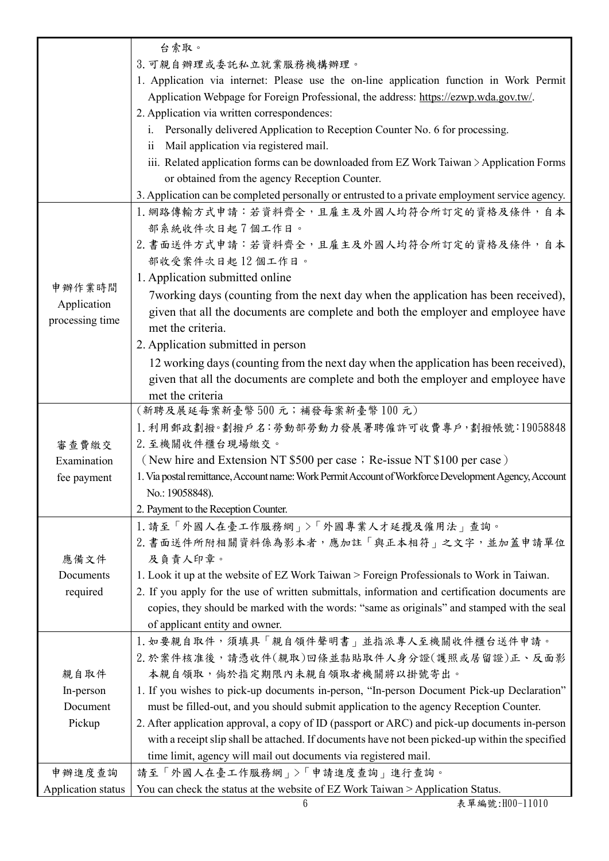|                    | 台索取。                                                                                                 |
|--------------------|------------------------------------------------------------------------------------------------------|
|                    | 3. 可親自辦理或委託私立就業服務機構辦理。                                                                               |
|                    | 1. Application via internet: Please use the on-line application function in Work Permit              |
|                    | Application Webpage for Foreign Professional, the address: https://ezwp.wda.gov.tw/.                 |
|                    | 2. Application via written correspondences:                                                          |
|                    | Personally delivered Application to Reception Counter No. 6 for processing.<br>$i_{\cdot}$           |
|                    | Mail application via registered mail.<br>11                                                          |
|                    | iii. Related application forms can be downloaded from EZ Work Taiwan > Application Forms             |
|                    | or obtained from the agency Reception Counter.                                                       |
|                    | 3. Application can be completed personally or entrusted to a private employment service agency.      |
|                    | 1. 網路傳輸方式申請:若資料齊全,且雇主及外國人均符合所訂定的資格及條件,自本                                                             |
|                    | 部系統收件次日起7個工作日。                                                                                       |
|                    | 2. 書面送件方式申請:若資料齊全,且雇主及外國人均符合所訂定的資格及條件,自本                                                             |
|                    | 部收受案件次日起12個工作日。                                                                                      |
|                    | 1. Application submitted online                                                                      |
| 申辦作業時間             | 7 working days (counting from the next day when the application has been received),                  |
| Application        | given that all the documents are complete and both the employer and employee have                    |
| processing time    | met the criteria.                                                                                    |
|                    | 2. Application submitted in person                                                                   |
|                    | 12 working days (counting from the next day when the application has been received),                 |
|                    | given that all the documents are complete and both the employer and employee have                    |
|                    | met the criteria                                                                                     |
|                    | (新聘及展延每案新臺幣500元;補發每案新臺幣100元)                                                                         |
|                    | 1. 利用郵政劃撥。劃撥戶名:勞動部勞動力發展署聘僱許可收費專戶,劃撥帳號:19058848                                                       |
| 審查費繳交              | 2. 至機關收件櫃台現場繳交。                                                                                      |
| Examination        | (New hire and Extension NT \$500 per case; Re-issue NT \$100 per case)                               |
| fee payment        | 1. Via postal remittance, Account name: Work Permit Account of Workforce Development Agency, Account |
|                    | No.: 19058848).                                                                                      |
|                    | 2. Payment to the Reception Counter.                                                                 |
|                    | 1. 請至「外國人在臺工作服務網」>「外國專業人才延攬及僱用法」查詢。                                                                  |
|                    | 2. 書面送件所附相關資料係為影本者,應加註「與正本相符」之文字,並加蓋申請單位                                                             |
| 應備文件               | 及負責人印章。                                                                                              |
| Documents          | 1. Look it up at the website of EZ Work Taiwan > Foreign Professionals to Work in Taiwan.            |
| required           | 2. If you apply for the use of written submittals, information and certification documents are       |
|                    | copies, they should be marked with the words: "same as originals" and stamped with the seal          |
|                    | of applicant entity and owner.                                                                       |
|                    | 1. 如要親自取件,須填具「親自領件聲明書」並指派專人至機關收件櫃台送件申請。                                                              |
|                    | 2. 於案件核准後,請憑收件(親取)回條並黏貼取件人身分證(護照或居留證)正、反面影                                                           |
| 親自取件               | 本親自領取,倘於指定期限內未親自領取者機關將以掛號寄出。                                                                         |
| In-person          | 1. If you wishes to pick-up documents in-person, "In-person Document Pick-up Declaration"            |
| Document           | must be filled-out, and you should submit application to the agency Reception Counter.               |
| Pickup             | 2. After application approval, a copy of ID (passport or ARC) and pick-up documents in-person        |
|                    | with a receipt slip shall be attached. If documents have not been picked-up within the specified     |
|                    | time limit, agency will mail out documents via registered mail.                                      |
| 申辦進度查詢             | 請至「外國人在臺工作服務網」>「申請進度查詢」進行查詢。                                                                         |
| Application status | You can check the status at the website of EZ Work Taiwan > Application Status.                      |